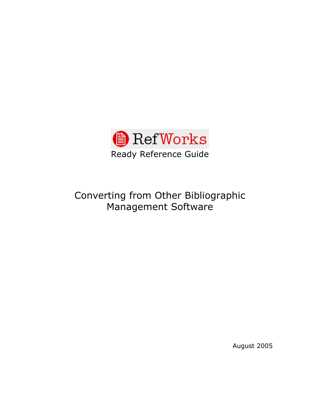

# Converting from Other Bibliographic Management Software

August 2005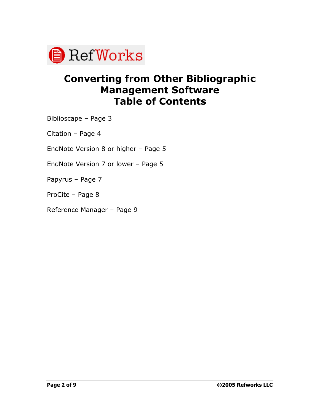

## **Converting from Other Bibliographic Management Software Table of Contents**

Biblioscape - Page 3

Citation  $-$  Page 4

EndNote Version 8 or higher  $-$  Page 5

EndNote Version  $7$  or lower - Page  $5$ 

Papyrus - Page 7

ProCite - Page 8

Reference Manager - Page 9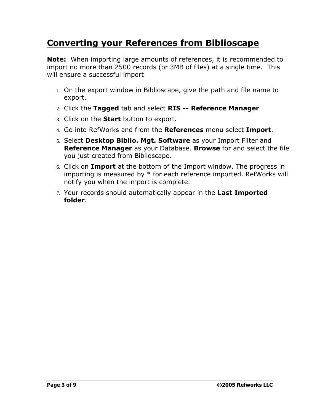### **Converting your References from Biblioscape**

**Note:** When importing large amounts of references, it is recommended to import no more than 2500 records (or 3MB of files) at a single time. This will ensure a successful import

- 1. On the export window in Biblioscape, give the path and file name to export.
- 2. Click the **Tagged** tab and select **RIS -- Reference Manager**
- 3. Click on the **Start** button to export.
- 4. Go into RefWorks and from the **References** menu select **Import**.
- 5. Select **Desktop Biblio. Mgt. Software** as your Import Filter and **Reference Manager** as your Database. **Browse** forand select the file you just created from Biblioscape.
- 6. Click on **Import** at the bottom of the Import window. The progress in importing is measured by \* for each reference imported. RefWorks will notify you when the import is complete.
- 7. Your records should automatically appear in the **Last Imported folder**.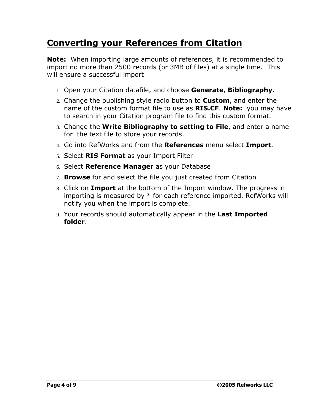### **Converting your References from Citation**

**Note:** When importing large amounts of references, it is recommended to import no more than 2500 records (or 3MB of files) at a single time. This will ensure a successful import

- 1. Open your Citation datafile, and choose **Generate, Bibliography**.
- 2. Change the publishing style radio button to **Custom**, and enter the name of the custom format file to use as **RIS.CF**. **Note:** you may have to search in your Citation program file to find this custom format.
- 3. Change the **Write Bibliography to setting to File**, and enter a name for the text file to store your records.
- 4. Go into RefWorks and from the **References** menu select **Import**.
- 5. Select **RIS Format** as your Import Filter
- 6. Select **Reference Manager** as your Database
- 7. **Browse** forand select the file you just created from Citation
- 8. Click on **Import** at the bottom of the Import window. The progress in importing is measured by \* for each reference imported. RefWorks will notify you when the import is complete.
- 9. Your records should automatically appear in the **Last Imported folder**.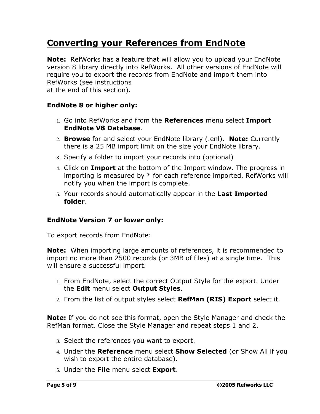### **Converting your References from EndNote**

**Note:** RefWorks has a feature that will allow you to upload your EndNote version 8 library directly into RefWorks. All other versions of EndNote will require you to export the records from EndNote and import them into RefWorks (see instructions at the end of this section).

#### **EndNote 8 or higher only:**

- 1. Go into RefWorks and from the **References** menu select **Import EndNote V8 Database**.
- 2. **Browse** forand select your EndNote library (.enl). **Note:** Currently there is a 25 MB import limit on the size your EndNote library.
- 3. Specify a folder to import your records into (optional)
- 4. Click on **Import** at the bottom of the Import window. The progress in importing is measured by \* for each reference imported. RefWorks will notify you when the import is complete.
- 5. Your records should automatically appear in the **Last Imported folder**.

#### **EndNote Version 7 or lower only:**

To export records from EndNote:

**Note:** When importing large amounts of references, it is recommended to import no more than 2500 records (or 3MB of files) at a single time. This will ensure a successful import.

- 1. From EndNote, select the correct Output Style for the export. Under the **Edit** menu select **Output Styles**.
- 2. From the list of output styles select **RefMan (RIS) Export** select it.

**Note:** If you do not see this format, open the Style Manager and check the RefMan format. Close the Style Manager and repeat steps 1 and 2.

- 3. Select the references you want to export.
- 4. Under the **Reference** menu select **Show Selected** (or Show All if you wish to export the entire database).
- 5. Under the **File** menu select **Export**.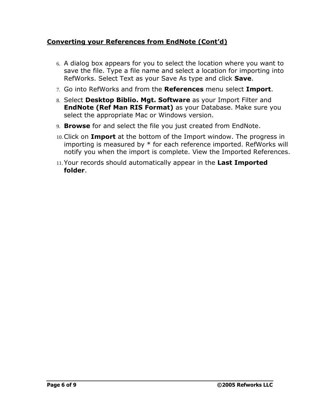#### **Converting your References from EndNote (Contíd)**

- 6. A dialog box appears for you to select the location where you want to save the file. Type a file name and select a location for importing into RefWorks. Select Text as your Save As type and click **Save**.
- 7. Go into RefWorks and from the **References** menu select **Import**.
- 8. Select **Desktop Biblio. Mgt. Software** as your Import Filter and **EndNote (Ref Man RIS Format)** as your Database. Make sure you select the appropriate Mac or Windows version.
- 9. **Browse** for and select the file you just created from EndNote.
- 10.Click on **Import** at the bottom of the Import window. The progress in importing is measured by \* for each reference imported. RefWorks will notify you when the import is complete. View the Imported References.
- 11.Your records should automatically appear in the **Last Imported folder**.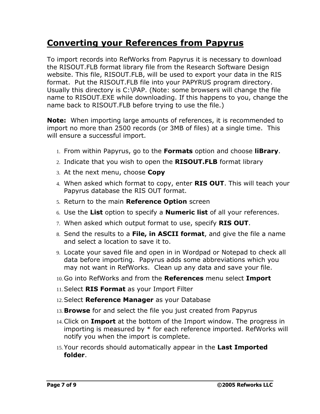### **Converting your References from Papyrus**

To import records into RefWorks from Papyrus it is necessary to download the RISOUT.FLB format library file from the Research Software Design website. This file, RISOUT.FLB, will be used to export your data in the RIS format. Put the RISOUT.FLB file into your PAPYRUS program directory. Usually this directory is C:\PAP. (Note: some browsers will change the file name to RISOUT.EXE while downloading. If this happens to you, change the name back to RISOUT.FLB before trying to use the file.)

**Note:** When importing large amounts of references, it is recommended to import no more than 2500 records (or 3MB of files) at a single time. This will ensure a successful import.

- 1. From within Papyrus, go to the **Formats** option and choose **liBrary**.
- 2. Indicate that you wish to open the **RISOUT.FLB** format library
- 3. At the next menu, choose **Copy**
- 4. When asked which format to copy, enter **RIS OUT**. This will teach your Papyrus database the RIS OUT format.
- 5. Return to the main **Reference Option** screen
- 6. Use the **List** option to specify a **Numeric list** of all your references.
- 7. When asked which output format to use, specify **RIS OUT**.
- 8. Send the results to a **File, in ASCII format**, and give the file a name and select a location to save it to.
- 9. Locate your saved file and open in in Wordpad or Notepad to check all data before importing. Papyrus adds some abbreviations which you may not want in RefWorks. Clean up any data and save your file.
- 10.Go into RefWorks and from the **References** menu select **Import**
- 11.Select **RIS Format** as your Import Filter
- 12.Select **Reference Manager** as your Database
- 13. **Browse** for and select the file you just created from Papyrus
- 14.Click on **Import** at the bottom of the Import window. The progress in importing is measured by \* for each reference imported. RefWorks will notify you when the import is complete.
- 15.Your records should automatically appear in the **Last Imported folder**.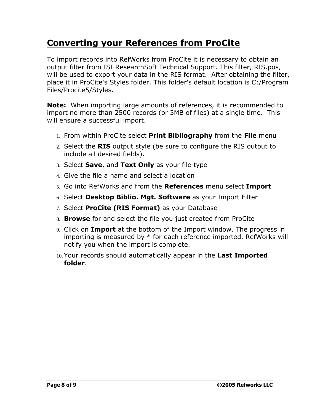### **Converting your References from ProCite**

To import records into RefWorks from ProCite it is necessary to obtain an output filter from ISI ResearchSoft Technical Support. This filter, RIS.pos, will be used to export your data in the RIS format. After obtaining the filter, place it in ProCite's Styles folder. This folder's default location is C:/Program Files/Procite5/Styles.

**Note:** When importing large amounts of references, it is recommended to import no more than 2500 records (or 3MB of files) at a single time. This will ensure a successful import.

- 1. From within ProCite select **Print Bibliography** from the **File** menu
- 2. Select the **RIS** output style (be sure to configure the RIS output to include all desired fields).
- 3. Select **Save**, and **Text Only** as your file type
- 4. Give the file a name and select a location
- 5. Go into RefWorks and from the **References** menu select **Import**
- 6. Select **Desktop Biblio. Mgt. Software** as your Import Filter
- 7. Select **ProCite (RIS Format)** as your Database
- 8. **Browse** forand select the file you just created from ProCite
- 9. Click on **Import** at the bottom of the Import window. The progress in importing is measured by \* for each reference imported. RefWorks will notify you when the import is complete.
- 10.Your records should automatically appear in the **Last Imported folder**.